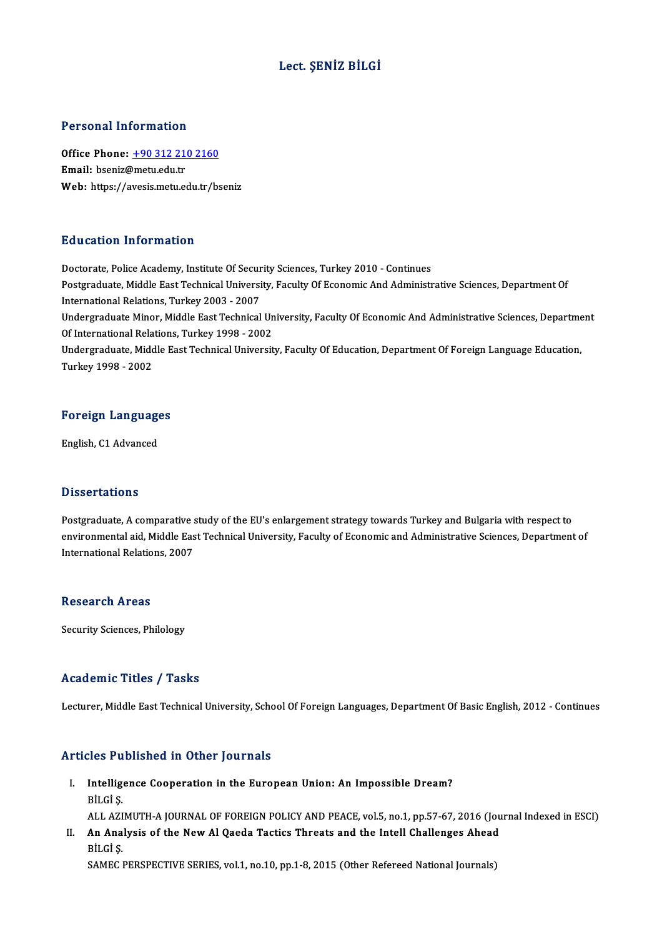### Lect. ŞENİZ BİLGİ

#### Personal Information

Personal Information<br>Office Phone: <u>+90 312 210 2160</u><br>Email: bsenig@matu.edu.tr office Phone: <u>+90 312 21</u><br>Email: bseniz@metu.edu.tr<br>Web: https://avosis.metu.edu Email: bseniz@metu.edu.tr<br>Web: https://a[vesis.metu.edu.tr/b](tel:+90 312 210 2160)seniz

#### Education Information

Doctorate, Police Academy, Institute Of Security Sciences, Turkey 2010 - Continues Pula decession Timbo Intecton<br>Doctorate, Police Academy, Institute Of Security Sciences, Turkey 2010 - Continues<br>Postgraduate, Middle East Technical University, Faculty Of Economic And Administrative Sciences, Department O Doctorate, Police Academy, Institute Of Secur<br>Postgraduate, Middle East Technical Universi<br>International Relations, Turkey 2003 - 2007<br>Undergraduate Miner, Middle East Technical Postgraduate, Middle East Technical University, Faculty Of Economic And Administrative Sciences, Department Of<br>International Relations, Turkey 2003 - 2007<br>Undergraduate Minor, Middle East Technical University, Faculty Of E International Relations, Turkey 2003 - 2007<br>Undergraduate Minor, Middle East Technical University, Faculty Of Economic And Administrative Sciences, Departme<br>Of International Relations, Turkey 1998 - 2002<br>Undergraduate, Mid Undergraduate Minor, Middle East Technical University, Faculty Of Economic And Administrative Sciences, Department<br>Of International Relations, Turkey 1998 - 2002<br>Undergraduate, Middle East Technical University, Faculty Of Of International Relations, Turkey 1998 - 2002

## Turkey 1998 - 2002<br>Foreign Languages <mark>Foreign Languag</mark><br>English, C1 Advanced

English, C1 Advanced<br>Dissertations

**Dissertations**<br>Postgraduate, A comparative study of the EU's enlargement strategy towards Turkey and Bulgaria with respect to<br>environmental aid. Middle Fest Technical University, Fesulty of Economic and Administrative Sci enseer carrons<br>Postgraduate, A comparative study of the EU's enlargement strategy towards Turkey and Bulgaria with respect to<br>International Belations, 2007 Postgraduate, A comparative :<br>environmental aid, Middle Eas<br>International Relations, 2007 International Relations, 2007<br>Research Areas

Security Sciences, Philology

#### Academic Titles / Tasks

Lecturer, Middle East Technical University, School Of Foreign Languages, Department Of Basic English, 2012 - Continues

### Articles Published in Other Journals

- rticles Published in Other Journals<br>I. Intelligence Cooperation in the European Union: An Impossible Dream?<br>Rit Ci S Intelligence<br>Intelligence<br>BİLGİ Ş. BİLGİ Ş.<br>ALL AZIMUTH-A JOURNAL OF FOREIGN POLICY AND PEACE, vol.5, no.1, pp.57-67, 2016 (Journal Indexed in ESCI)
- BİLGİ Ş.<br>ALL AZIMUTH-A JOURNAL OF FOREIGN POLICY AND PEACE, vol.5, no.1, pp.57-67, 2016 (Jou<br>II. An Analysis of the New Al Qaeda Tactics Threats and the Intell Challenges Ahead<br>Pit Ci S ALL AZI<br>**An Ana**<br>BİLGİ Ş.<br>SAMEC I An Analysis of the New Al Qaeda Tactics Threats and the Intell Challenges Ahead<br>BİLGİ Ş.<br>SAMEC PERSPECTIVE SERIES, vol.1, no.10, pp.1-8, 2015 (Other Refereed National Journals)